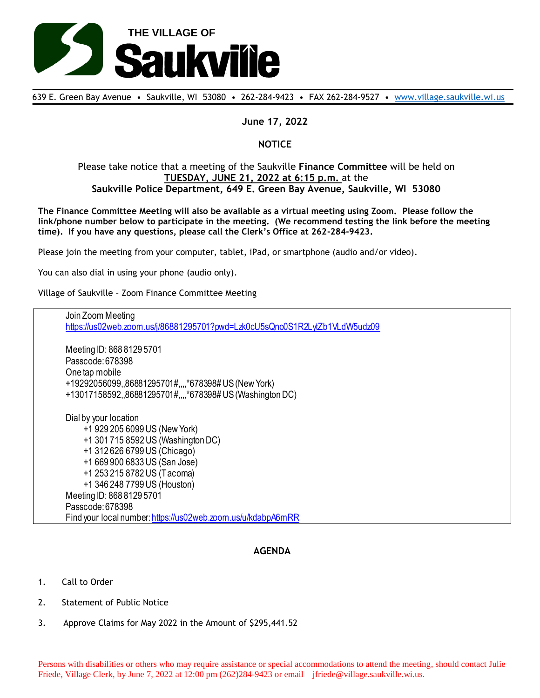

639 E. Green Bay Avenue • Saukville, WI 53080 • 262-284-9423 • FAX 262-284-9527 • [www.village.saukville.wi.us](http://www.village.saukville.wi.us/)

## **June 17, 2022**

## **NOTICE**

## Please take notice that a meeting of the Saukville **Finance Committee** will be held on **TUESDAY, JUNE 21, 2022 at 6:15 p.m.** at the **Saukville Police Department, 649 E. Green Bay Avenue, Saukville, WI 53080**

**The Finance Committee Meeting will also be available as a virtual meeting using Zoom. Please follow the link/phone number below to participate in the meeting. (We recommend testing the link before the meeting time). If you have any questions, please call the Clerk's Office at 262-284-9423.**

Please join the meeting from your computer, tablet, iPad, or smartphone (audio and/or video).

You can also dial in using your phone (audio only).

Village of Saukville – Zoom Finance Committee Meeting

Join Zoom Meeting https://us02web.zoom.us/j/86881295701?pwd=Lzk0cU5sQno0S1R2LytZb1VLdW5udz09 Meeting ID: 868 8129 5701 Passcode: 678398 One tap mobile +19292056099,,86881295701#,,,,\*678398# US (New York) +13017158592,,86881295701#,,,,\*678398# US (Washington DC) Dial by your location +1 929 205 6099 US (New York) +1 301 715 8592 US (Washington DC) +1 312 626 6799 US (Chicago) +1 669 900 6833 US (San Jose) +1 253 215 8782 US (Tacoma) +1 346 248 7799 US (Houston) Meeting ID: 868 8129 5701 Passcode: 678398 Find your local number: https://us02web.zoom.us/u/kdabpA6mRR

## **AGENDA**

- 1. Call to Order
- 2. Statement of Public Notice
- 3. Approve Claims for May 2022 in the Amount of \$295,441.52

Persons with disabilities or others who may require assistance or special accommodations to attend the meeting, should contact Julie Friede, Village Clerk, by June 7, 2022 at 12:00 pm (262)284-9423 or email – jfriede@village.saukville.wi.us.